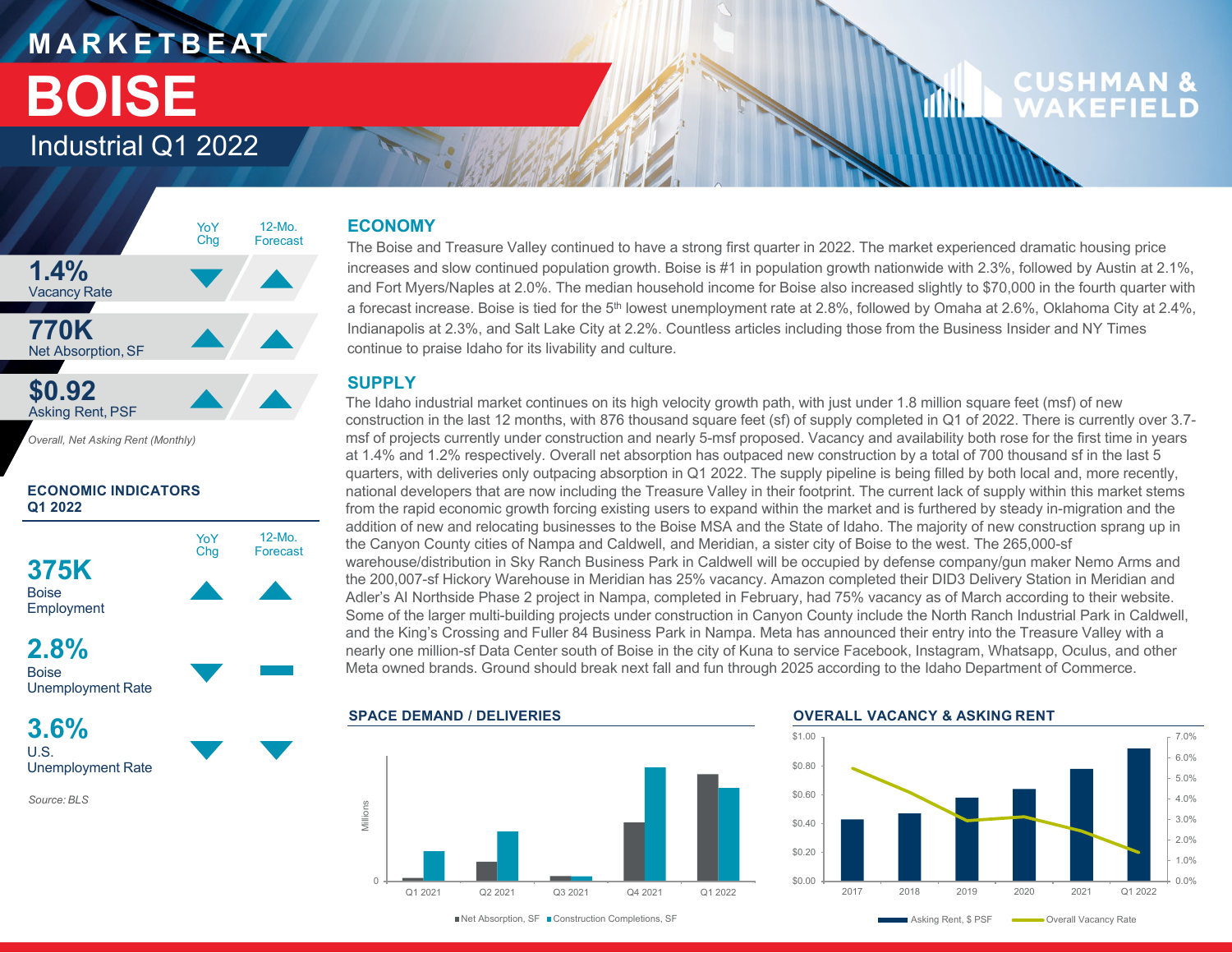## **M A R K E T B E AT BOISE**

### **CUSHMAN &** WAKFFIFLD

dilin.

### Industrial Q1 2022



*Overall, Net Asking Rent (Monthly)*

#### **ECONOMIC INDICATORS Q1 2022**



U.S.Unemployment Rate

*Source: BLS*

#### **ECONOMY**

The Boise and Treasure Valley continued to have a strong first quarter in 2022. The market experienced dramatic housing price increases and slow continued population growth. Boise is #1 in population growth nationwide with 2.3%, followed by Austin at 2.1%, and Fort Myers/Naples at 2.0%. The median household income for Boise also increased slightly to \$70,000 in the fourth quarter with a forecast increase. Boise is tied for the 5<sup>th</sup> lowest unemployment rate at 2.8%, followed by Omaha at 2.6%, Oklahoma City at 2.4%, Indianapolis at 2.3%, and Salt Lake City at 2.2%. Countless articles including those from the Business Insider and NY Times continue to praise Idaho for its livability and culture.

#### **SUPPLY**

The Idaho industrial market continues on its high velocity growth path, with just under 1.8 million square feet (msf) of new construction in the last 12 months, with 876 thousand square feet (sf) of supply completed in Q1 of 2022. There is currently over 3.7 msf of projects currently under construction and nearly 5-msf proposed. Vacancy and availability both rose for the first time in years at 1.4% and 1.2% respectively. Overall net absorption has outpaced new construction by a total of 700 thousand sf in the last 5 quarters, with deliveries only outpacing absorption in Q1 2022. The supply pipeline is being filled by both local and, more recently, national developers that are now including the Treasure Valley in their footprint. The current lack of supply within this market stems from the rapid economic growth forcing existing users to expand within the market and is furthered by steady in-migration and the addition of new and relocating businesses to the Boise MSA and the State of Idaho. The majority of new construction sprang up in the Canyon County cities of Nampa and Caldwell, and Meridian, a sister city of Boise to the west. The 265,000-sf warehouse/distribution in Sky Ranch Business Park in Caldwell will be occupied by defense company/gun maker Nemo Arms and the 200,007-sf Hickory Warehouse in Meridian has 25% vacancy. Amazon completed their DID3 Delivery Station in Meridian and Adler's AI Northside Phase 2 project in Nampa, completed in February, had 75% vacancy as of March according to their website. Some of the larger multi-building projects under construction in Canyon County include the North Ranch Industrial Park in Caldwell, and the King's Crossing and Fuller 84 Business Park in Nampa. Meta has announced their entry into the Treasure Valley with a nearly one million-sf Data Center south of Boise in the city of Kuna to service Facebook, Instagram, Whatsapp, Oculus, and other Meta owned brands. Ground should break next fall and fun through 2025 according to the Idaho Department of Commerce.



#### **OVERALL VACANCY & ASKING RENT**



Q1 2021 Q2 2021 Q3 2021 Q4 2021 Q1 2022■Net Absorption, SF ■ Construction Completions, SF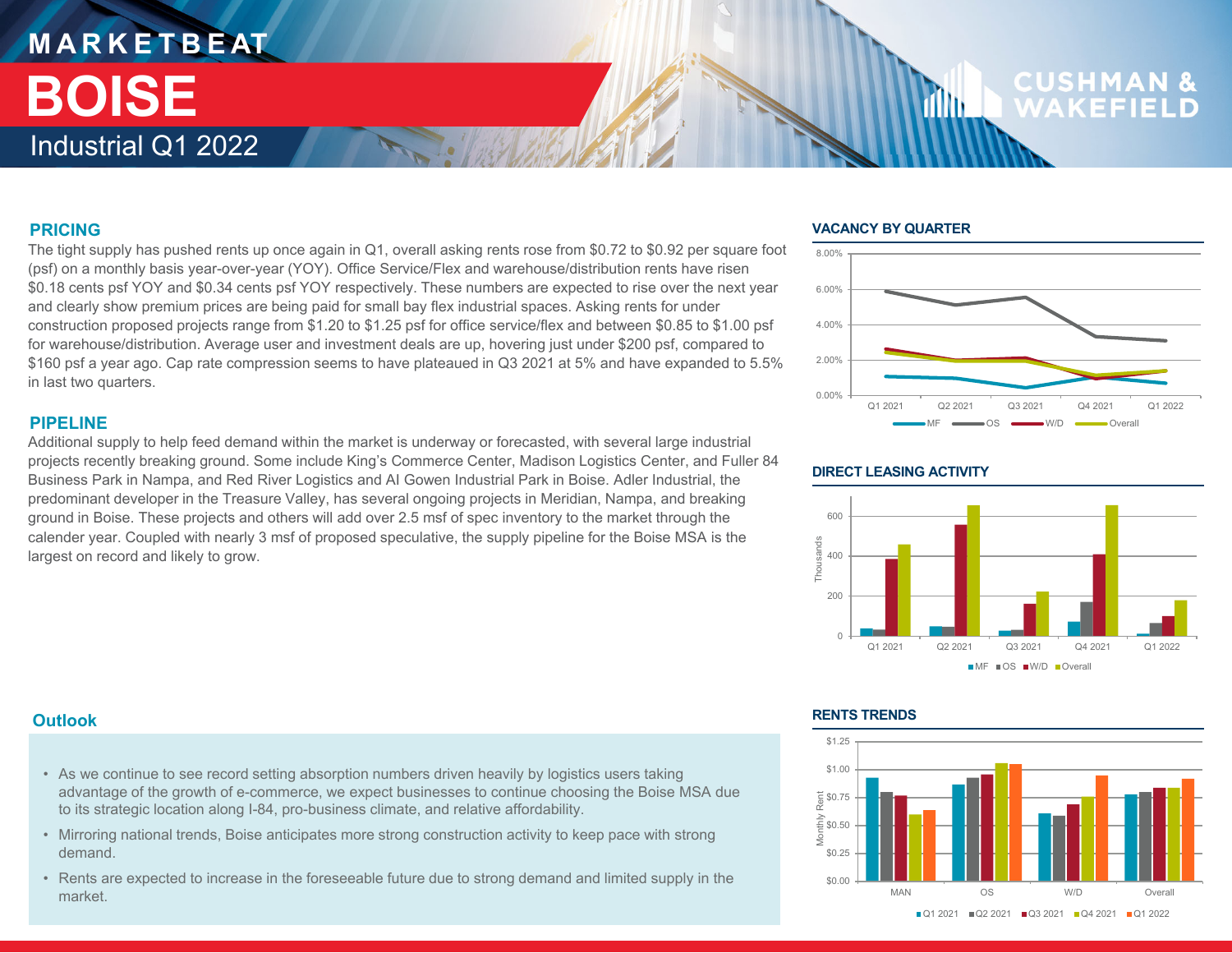### **M A R K E T B E AT** Industrial Q1 2022**BOISE**

# **CUSHM**

#### **PRICING**

The tight supply has pushed rents up once again in Q1, overall asking rents rose from \$0.72 to \$0.92 per square foot (psf) on a monthly basis year-over-year (YOY). Office Service/Flex and warehouse/distribution rents have risen \$0.18 cents psf YOY and \$0.34 cents psf YOY respectively. These numbers are expected to rise over the next year and clearly show premium prices are being paid for small bay flex industrial spaces. Asking rents for under construction proposed projects range from \$1.20 to \$1.25 psf for office service/flex and between \$0.85 to \$1.00 psf for warehouse/distribution. Average user and investment deals are up, hovering just under \$200 psf, compared to \$160 psf a year ago. Cap rate compression seems to have plateaued in Q3 2021 at 5% and have expanded to 5.5% in last two quarters.

#### **PIPELINE**

Additional supply to help feed demand within the market is underway or forecasted, with several large industrial projects recently breaking ground. Some include King's Commerce Center, Madison Logistics Center, and Fuller 84 Business Park in Nampa, and Red River Logistics and AI Gowen Industrial Park in Boise. Adler Industrial, the predominant developer in the Treasure Valley, has several ongoing projects in Meridian, Nampa, and breaking ground in Boise. These projects and others will add over 2.5 msf of spec inventory to the market through the calender year. Coupled with nearly 3 msf of proposed speculative, the supply pipeline for the Boise MSA is the largest on record and likely to grow.

#### **VACANCY BY QUARTER**

1M)



#### **DIRECT LEASING ACTIVITY**



#### **Outlook**

- As we continue to see record setting absorption numbers driven heavily by logistics users taking advantage of the growth of e-commerce, we expect businesses to continue choosing the Boise MSA due to its strategic location along I-84, pro-business climate, and relative affordability.
- Mirroring national trends, Boise anticipates more strong construction activity to keep pace with strong demand.
- Rents are expected to increase in the foreseeable future due to strong demand and limited supply in the market.

#### **RENTS TRENDS**

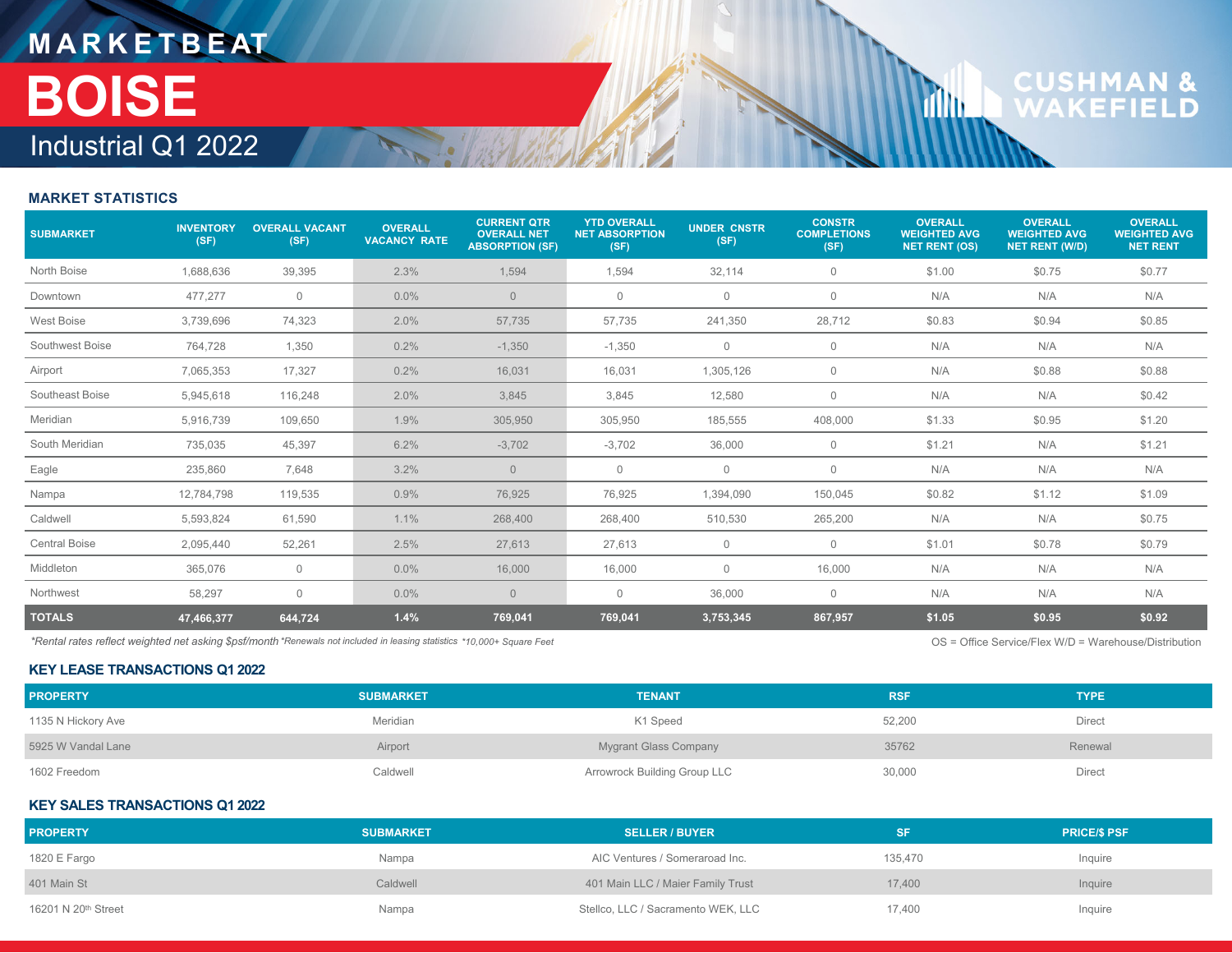## **M A R K E T B E AT** Industrial Q1 2022**BOISE**

# **CUSHMAN &**<br>WAKEFIELD

**Tillu** 

#### **MARKET STATISTICS**

| <b>SUBMARKET</b>     | <b>INVENTORY</b><br>(SF) | <b>OVERALL VACANT</b><br>(SF) | <b>OVERALL</b><br><b>VACANCY RATE</b> | <b>CURRENT QTR</b><br><b>OVERALL NET</b><br><b>ABSORPTION (SF)</b> | <b>YTD OVERALL</b><br><b>NET ABSORPTION</b><br>(SF) | <b>UNDER CNSTR</b><br>(SF) | <b>CONSTR</b><br><b>COMPLETIONS</b><br>(SF) | <b>OVERALL</b><br><b>WEIGHTED AVG</b><br><b>NET RENT (OS)</b> | <b>OVERALL</b><br><b>WEIGHTED AVG</b><br><b>NET RENT (W/D)</b> | <b>OVERALL</b><br><b>WEIGHTED AVG</b><br><b>NET RENT</b> |
|----------------------|--------------------------|-------------------------------|---------------------------------------|--------------------------------------------------------------------|-----------------------------------------------------|----------------------------|---------------------------------------------|---------------------------------------------------------------|----------------------------------------------------------------|----------------------------------------------------------|
| North Boise          | 1,688,636                | 39,395                        | 2.3%                                  | 1,594                                                              | 1,594                                               | 32,114                     | 0                                           | \$1.00                                                        | \$0.75                                                         | \$0.77                                                   |
| Downtown             | 477,277                  | $\circ$                       | $0.0\%$                               | $\overline{0}$                                                     | $\mathbf{0}$                                        | $\mathbf{0}$               | $\mathbf 0$                                 | N/A                                                           | N/A                                                            | N/A                                                      |
| <b>West Boise</b>    | 3,739,696                | 74,323                        | 2.0%                                  | 57,735                                                             | 57,735                                              | 241,350                    | 28,712                                      | \$0.83                                                        | \$0.94                                                         | \$0.85                                                   |
| Southwest Boise      | 764,728                  | 1,350                         | 0.2%                                  | $-1,350$                                                           | $-1,350$                                            | $\mathbf 0$                | $\mathbf 0$                                 | N/A                                                           | N/A                                                            | N/A                                                      |
| Airport              | 7,065,353                | 17,327                        | 0.2%                                  | 16,031                                                             | 16,031                                              | 1,305,126                  | $\mathbf 0$                                 | N/A                                                           | \$0.88                                                         | \$0.88                                                   |
| Southeast Boise      | 5,945,618                | 116,248                       | 2.0%                                  | 3,845                                                              | 3,845                                               | 12,580                     | $\mathbf 0$                                 | N/A                                                           | N/A                                                            | \$0.42                                                   |
| Meridian             | 5,916,739                | 109,650                       | 1.9%                                  | 305,950                                                            | 305,950                                             | 185,555                    | 408,000                                     | \$1.33                                                        | \$0.95                                                         | \$1.20                                                   |
| South Meridian       | 735,035                  | 45,397                        | 6.2%                                  | $-3,702$                                                           | $-3,702$                                            | 36,000                     | $\mathbf 0$                                 | \$1.21                                                        | N/A                                                            | \$1.21                                                   |
| Eagle                | 235,860                  | 7,648                         | 3.2%                                  | $\overline{0}$                                                     | 0                                                   | $\mathbf 0$                | $\mathbf 0$                                 | N/A                                                           | N/A                                                            | N/A                                                      |
| Nampa                | 12,784,798               | 119,535                       | 0.9%                                  | 76,925                                                             | 76,925                                              | 1,394,090                  | 150,045                                     | \$0.82                                                        | \$1.12                                                         | \$1.09                                                   |
| Caldwell             | 5,593,824                | 61,590                        | 1.1%                                  | 268,400                                                            | 268,400                                             | 510,530                    | 265,200                                     | N/A                                                           | N/A                                                            | \$0.75                                                   |
| <b>Central Boise</b> | 2,095,440                | 52,261                        | 2.5%                                  | 27,613                                                             | 27,613                                              | $\mathbf 0$                | $\mathbf 0$                                 | \$1.01                                                        | \$0.78                                                         | \$0.79                                                   |
| Middleton            | 365,076                  | $\overline{0}$                | $0.0\%$                               | 16,000                                                             | 16,000                                              | 0                          | 16,000                                      | N/A                                                           | N/A                                                            | N/A                                                      |
| Northwest            | 58,297                   | $\mathbf 0$                   | $0.0\%$                               | $\overline{0}$                                                     | $\mathbf 0$                                         | 36,000                     | $\mathbf{0}$                                | N/A                                                           | N/A                                                            | N/A                                                      |
| <b>TOTALS</b>        | 47,466,377               | 644,724                       | 1.4%                                  | 769,041                                                            | 769,041                                             | 3,753,345                  | 867,957                                     | \$1.05                                                        | \$0.95                                                         | \$0.92                                                   |

*\*Rental rates reflect weighted net asking \$psf/month \*Renewals not included in leasing statistics* OS = Office Service/Flex W/D = Warehouse/Distribution *\*10,000+ Square Feet*

#### **KEY LEASE TRANSACTIONS Q1 2022**

| <b>PROPERTY</b>    | <b>SUBMARKET</b> | <b>TENANT</b>                       | <b>RSF</b> | <b>TYPE</b>   |
|--------------------|------------------|-------------------------------------|------------|---------------|
| 1135 N Hickory Ave | Meridian         | K1 Speed                            | 52,200     | <b>Direct</b> |
| 5925 W Vandal Lane | Airport          | Mygrant Glass Company               | 35762      | Renewal       |
| 1602 Freedom       | Caldwell         | <b>Arrowrock Building Group LLC</b> | 30,000     | Direct        |

#### **KEY SALES TRANSACTIONS Q1 2022**

| <b>PROPERTY</b>                 | <b>SUBMARKET</b> | <b>SELLER / BUYER</b>              |         | <b>PRICE/S PSF</b> |
|---------------------------------|------------------|------------------------------------|---------|--------------------|
| 1820 E Fargo                    | Nampa            | AIC Ventures / Someraroad Inc.     | 135.470 | Inquire            |
| 401 Main St                     | Caldwell         | 401 Main LLC / Maier Family Trust  | 17,400  | Inquire            |
| 16201 N 20 <sup>th</sup> Street | Nampa            | Stellco, LLC / Sacramento WEK, LLC | 17,400  | Inquire            |